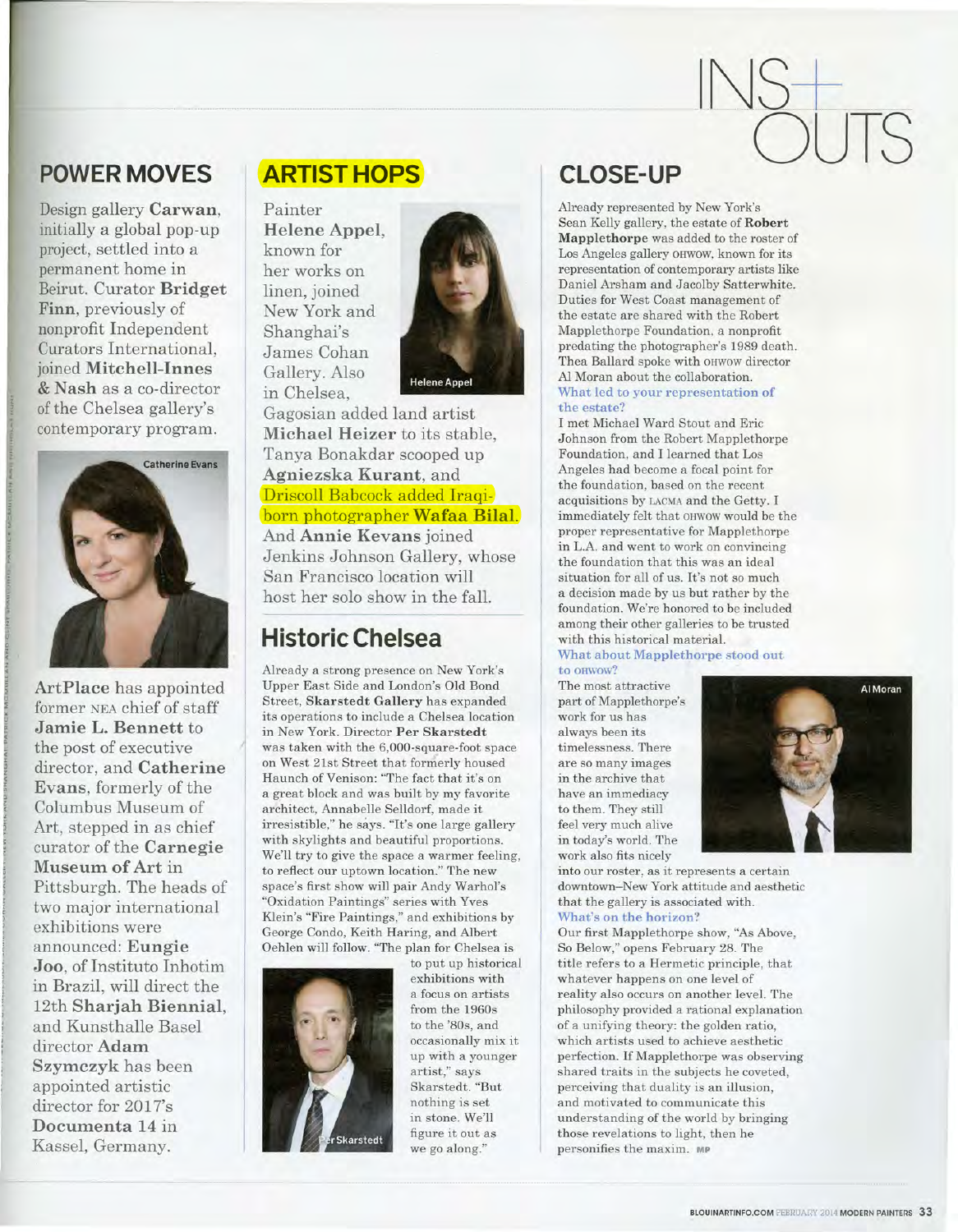#### **POWER MOVES**

Design gallery Carwan, initially a global pop-up project, settled into a permanent home in Beirut. Curator Bridget Finn, previously of nonprofit Independent Curators International, joined Mitchell-Innes & Nash as a co-director of the Chelsea gallery's contemporary program.



ArtPlace has appointed former NEA chief of staff Jamie L. Bennett to the post of executive director, and Catherine Evans, formerly of the Columbus Museum of Art, stepped in as chief curator of the Carnegie Museum of Art in Pittsburgh. The heads of two major international exhibitions were announced: Eungie Joo, of Instituto Inhotim in Brazil, will direct the 12th Sharjah Biennial, and Kunsthalle Basel director Adam Szymczyk has been appointed artistic director for 2017's Documenta 14 in Kassel, Germany.

#### **ARTIST HOPS**

Painter Helene Appel, known for her works on linen, joined New York and Shanghai's James Cohan Gallery. Also in Chelsea,



Gagosian added land artist Michael Heizer to its stable, Tanya Bonakdar scooped up Agniezska Kurant, and Driscoll Babcock added Iraqiborn photographer Wafaa Bilal. And Annie Kevans joined Jenkins Johnson Gallery, whose San Francisco location will host her solo show in the fall.

#### **Historic Chelsea**

Already a strong presence on New York's Upper East Side and London's Old Bond Street, Skarstedt Gallery has expanded its operations to include a Chelsea location in New York. Director Per Skarstedt was taken with the 6,000-square-foot space on West 21st Street that formerly housed Haunch of Venison: "The fact that it's on a great block and was built by my favorite architect, Annabelle Selldorf, made it irresistible," he says. "It's one large gallery with skylights and beautiful proportions. We'll try to give the space a warmer feeling, to reflect our uptown location ." The new space's first show will pair Andy Warhol's "Oxidation Paintings" series with Yves Klein's "Fire Paintings," and exhibitions by George Condo, Keith Haring, and Albert Oehlen will follow. "The plan for Chelsea is



to put up historical exhibitions with a focus on artists from the 1960s to the '80s, and occasionally mix it up with a younger artist," says Skarstedt. "But nothing is set in stone. We'll figure it out as we go along."

#### **CLOSE-UP**

Already represented by New York's Sean Kelly gallery, the estate of Robert Mapplethorpe was added to the roster of Los Angeles gallery OHWOW, known for its representation of contemporary artists like Daniel Arsham and Jacolby Satterwhite. Duties for West Coast management of the estate are shared with the Robert Mapplethorpe Foundation, a nonprofit predating the photographer's 1989 death. Thea Ballard spoke with OHWOW director Al Moran about the collaboration. What led to your representation of the estate?

 $NS_{\perp}$ 

OUTS

I met Michael Ward Stout and Eric Johnson from the Robert Mapplethorpe Foundation, and I learned that Los Angeles had become a focal point for the foundation, based on the recent acquisitions by LACMA and the Getty. I immediately felt that oHwow would be the proper representative for Mapplethorpe in L.A. and went to work on convincing the foundation that this was an ideal situation for all of us. It's not so much a decision made by us but rather by the foundation. We're honored to be included among their other galleries to be trusted with this historical material.

What about Mapplethorpe stood out to OHWOW?

The most attractive part of Mapplethorpe's work for us has always been its timelessness. There are so many images in the archive that have an immediacy to them. They still feel very much alive in today's world. The work also fits nicely



into our roster, as it represents a certain downtown-New York attitude and aesthetic that the gallery is associated with. What's on the horizon?

Our first Mapplethorpe show, "As Above, So Below," opens February 28. The title refers to a Hermetic principle, that whatever happens on one level of reality also occurs on another level. The philosophy provided a rational explanation of a unifying theory: the golden ratio, which artists used to achieve aesthetic perfection. If Mapplethorpe was observing shared traits in the subjects he coveted, perceiving that duality is an illusion, and motivated to communicate this understanding of the world by bringing those revelations to light, then he personifies the maxim. MP